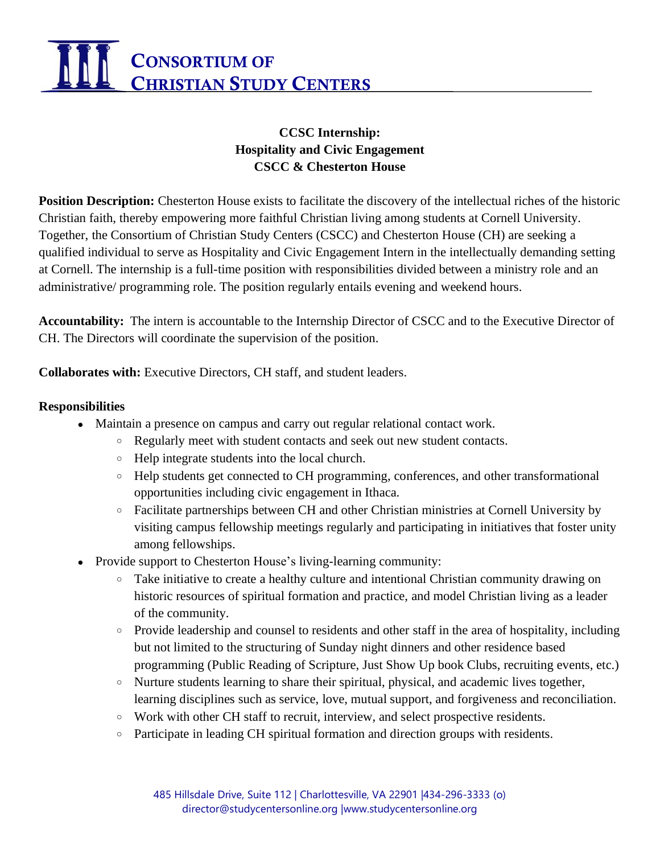# CONSORTIUM OF CHRISTIAN STUDY CENTERS

## **CCSC Internship: Hospitality and Civic Engagement CSCC & Chesterton House**

**Position Description:** Chesterton House exists to facilitate the discovery of the intellectual riches of the historic Christian faith, thereby empowering more faithful Christian living among students at Cornell University. Together, the Consortium of Christian Study Centers (CSCC) and Chesterton House (CH) are seeking a qualified individual to serve as Hospitality and Civic Engagement Intern in the intellectually demanding setting at Cornell. The internship is a full-time position with responsibilities divided between a ministry role and an administrative/ programming role. The position regularly entails evening and weekend hours.

**Accountability:** The intern is accountable to the Internship Director of CSCC and to the Executive Director of CH. The Directors will coordinate the supervision of the position.

**Collaborates with:** Executive Directors, CH staff, and student leaders.

#### **Responsibilities**

- Maintain a presence on campus and carry out regular relational contact work.
	- Regularly meet with student contacts and seek out new student contacts.
	- Help integrate students into the local church.
	- Help students get connected to CH programming, conferences, and other transformational opportunities including civic engagement in Ithaca.
	- Facilitate partnerships between CH and other Christian ministries at Cornell University by visiting campus fellowship meetings regularly and participating in initiatives that foster unity among fellowships.
	- Provide support to Chesterton House's living-learning community:
		- Take initiative to create a healthy culture and intentional Christian community drawing on historic resources of spiritual formation and practice, and model Christian living as a leader of the community.
		- Provide leadership and counsel to residents and other staff in the area of hospitality, including but not limited to the structuring of Sunday night dinners and other residence based programming (Public Reading of Scripture, Just Show Up book Clubs, recruiting events, etc.)
		- Nurture students learning to share their spiritual, physical, and academic lives together, learning disciplines such as service, love, mutual support, and forgiveness and reconciliation.
		- Work with other CH staff to recruit, interview, and select prospective residents.
		- Participate in leading CH spiritual formation and direction groups with residents.